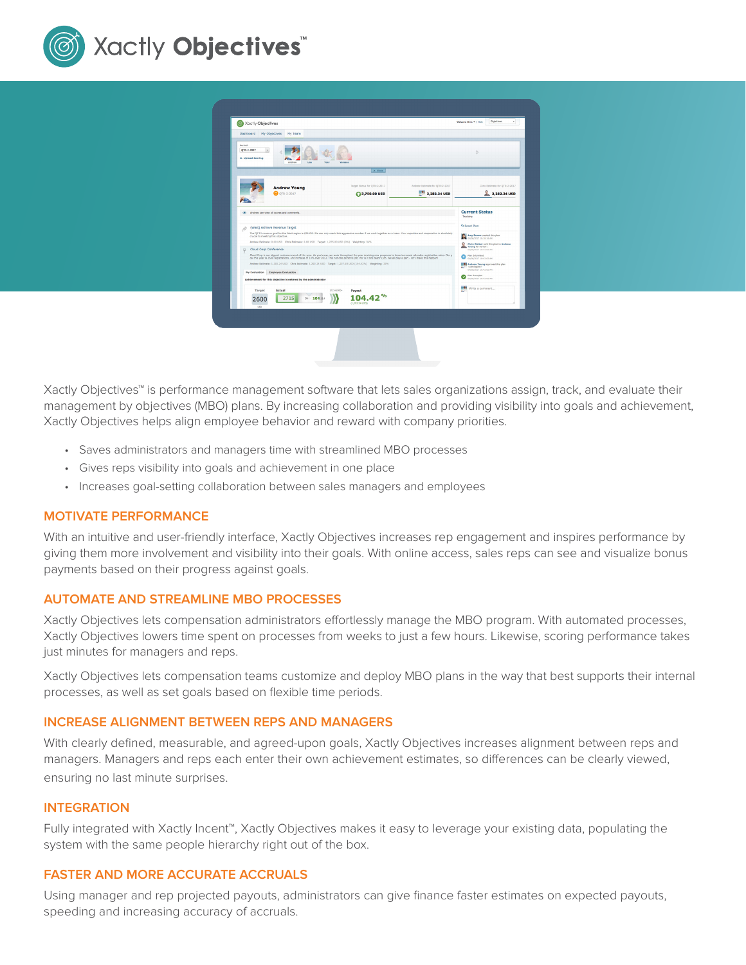

| Period:<br>QTR-2-2017<br>le.<br>& Upload Scoring<br>Andrew<br>Links<br>Toron<br>Venezza                                                                                                                                                                                                                                                                                                                                                                                          |                                     |                                                          |                                                       | $\triangleright$                                                                                                                                          |  |
|----------------------------------------------------------------------------------------------------------------------------------------------------------------------------------------------------------------------------------------------------------------------------------------------------------------------------------------------------------------------------------------------------------------------------------------------------------------------------------|-------------------------------------|----------------------------------------------------------|-------------------------------------------------------|-----------------------------------------------------------------------------------------------------------------------------------------------------------|--|
|                                                                                                                                                                                                                                                                                                                                                                                                                                                                                  | <b>Andrew Young</b><br>O OTR-2-2017 | $A$ Class<br>Target Bonus for QTR-2-2017<br>3,750.00 USD | Andrew Estimate for OTR-2-2017<br>m#a<br>2,282.24 USD | Chris Estimate for OTR-2-2017<br>2, 2,282.24 USD                                                                                                          |  |
| C Andrew can view all scores and comments.<br>(West) Achieve Revenue Target<br>$\mathcal{D}$<br>The OZ'13 revenue goal for the West region is \$26.0M. We can only reach this appressive number if we work together as a team. Your expertise and cocoeration is absolutely<br>crucial to meeting this objective.                                                                                                                                                                |                                     |                                                          |                                                       | <b>Current Status</b><br>Tracking<br><b>D</b> Reset Plan<br>Arey Brown created this plan                                                                  |  |
| Andrew Estimate: 0.00 USD Chris Estimate: 0.00 USD Target: 1,275.00 USD (016) Weighting: 34%<br>Cloud Corp Conference<br>Ÿ<br>Cloud Corp is our biggest customer event of the year. As you know, we work throughout the year devising new programs to draw increased attendee registration rates. Our g<br>oal this year is 2600 registrations, and increase of 10% over 2012. This not one person's job, nor is it one team's job. We all play a part - let's make this happen! |                                     |                                                          |                                                       | NA 81:817 10:00 TEGAN<br>Chris Walker sent this size to Andrew<br>Young for review:<br>04/06/2017 10:42:03 AM<br>Plan Submitted<br>04/06/2017 10:42:03 AH |  |
| Andrew Estimate: 1,292.24 USD Chris Estimate: 1,292.24 USD Target: 1,237.50 USD (104.42%) Weighting: 33%<br>My Evaluation Employee Evaluation<br>Achievement for this objective is entered by the administrator                                                                                                                                                                                                                                                                  |                                     |                                                          |                                                       | 1199 Andrew Young approved this plan<br>"Looks good!"<br>×<br>04/05/2017 10:43:02 AM<br>Plan Accepted<br>04/06/2017 10:43:02 AM                           |  |
| Target<br>2600<br>ues                                                                                                                                                                                                                                                                                                                                                                                                                                                            | Actual<br>2715<br>94 10411          | 2715+2500+<br>Payout<br>$\frac{9}{6}$<br>(1,292,24,150)  |                                                       | Write a comment                                                                                                                                           |  |

Xactly Objectives™ is performance management software that lets sales organizations assign, track, and evaluate their management by objectives (MBO) plans. By increasing collaboration and providing visibility into goals and achievement, Xactly Objectives helps align employee behavior and reward with company priorities.

- Saves administrators and managers time with streamlined MBO processes
- Gives reps visibility into goals and achievement in one place
- Increases goal-setting collaboration between sales managers and employees

#### **MOTIVATE PERFORMANCE**

With an intuitive and user-friendly interface, Xactly Objectives increases rep engagement and inspires performance by giving them more involvement and visibility into their goals. With online access, sales reps can see and visualize bonus payments based on their progress against goals.

#### **AUTOMATE AND STREAMLINE MBO PROCESSES**

Xactly Objectives lets compensation administrators effortlessly manage the MBO program. With automated processes, Xactly Objectives lowers time spent on processes from weeks to just a few hours. Likewise, scoring performance takes just minutes for managers and reps.

Xactly Objectives lets compensation teams customize and deploy MBO plans in the way that best supports their internal processes, as well as set goals based on flexible time periods.

#### **INCREASE ALIGNMENT BETWEEN REPS AND MANAGERS**

With clearly defined, measurable, and agreed-upon goals, Xactly Objectives increases alignment between reps and managers. Managers and reps each enter their own achievement estimates, so differences can be clearly viewed, ensuring no last minute surprises.

#### **INTEGRATION**

Fully integrated with Xactly Incent™, Xactly Objectives makes it easy to leverage your existing data, populating the system with the same people hierarchy right out of the box.

#### **FASTER AND MORE ACCURATE ACCRUALS**

Using manager and rep projected payouts, administrators can give finance faster estimates on expected payouts, speeding and increasing accuracy of accruals.